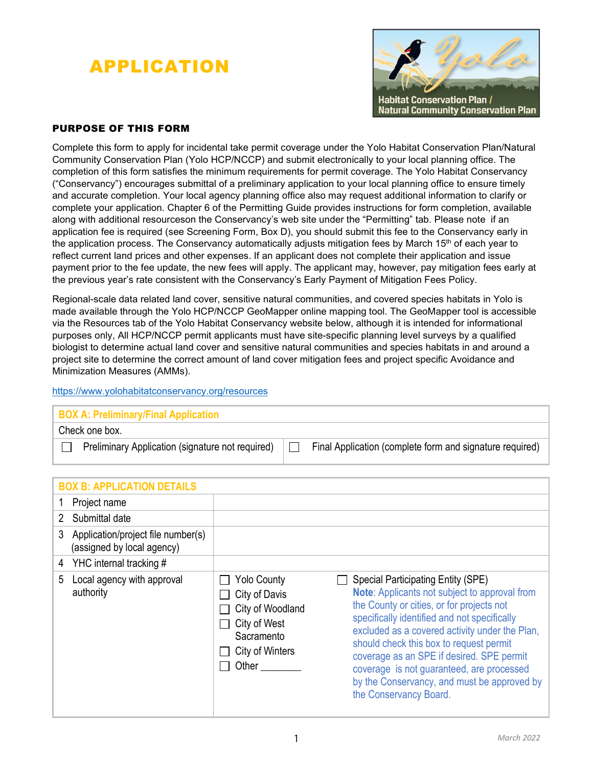# APPLICATION



## PURPOSE OF THIS FORM

Complete this form to apply for incidental take permit coverage under the Yolo Habitat Conservation Plan/Natural Community Conservation Plan (Yolo HCP/NCCP) and submit electronically to your local planning office. The completion of this form satisfies the minimum requirements for permit coverage. The Yolo Habitat Conservancy ("Conservancy") encourages submittal of a preliminary application to your local planning office to ensure timely and accurate completion. Your local agency planning office also may request additional information to clarify or complete your application. Chapter 6 of the Permitting Guide provides instructions for form completion, available along with additional resourceson the Conservancy's web site under the "Permitting" tab. Please note if an application fee is required (see Screening Form, Box D), you should submit this fee to the Conservancy early in the application process. The Conservancy automatically adjusts mitigation fees by March  $15<sup>th</sup>$  of each year to reflect current land prices and other expenses. If an applicant does not complete their application and issue payment prior to the fee update, the new fees will apply. The applicant may, however, pay mitigation fees early at the previous year's rate consistent with the Conservancy's Early Payment of Mitigation Fees Policy.

Regional-scale data related land cover, sensitive natural communities, and covered species habitats in Yolo is made available through the Yolo HCP/NCCP GeoMapper online mapping tool. The GeoMapper tool is accessible via the Resources tab of the Yolo Habitat Conservancy website below, although it is intended for informational purposes only, All HCP/NCCP permit applicants must have site-specific planning level surveys by a qualified biologist to determine actual land cover and sensitive natural communities and species habitats in and around a project site to determine the correct amount of land cover mitigation fees and project specific Avoidance and Minimization Measures (AMMs).

#### https://www.yolohabitatconservancy.org/resources

# **BOX A: Preliminary/Final Application**

Check one box.

**Preliminary Application (signature not required)**  $\Box$  Final Application (complete form and signature required)

|   | <b>BOX B: APPLICATION DETAILS</b>                                |                                                                                                                   |                                                                                                                                                                                                                                                                                                                                                                                                                                                  |
|---|------------------------------------------------------------------|-------------------------------------------------------------------------------------------------------------------|--------------------------------------------------------------------------------------------------------------------------------------------------------------------------------------------------------------------------------------------------------------------------------------------------------------------------------------------------------------------------------------------------------------------------------------------------|
|   | Project name                                                     |                                                                                                                   |                                                                                                                                                                                                                                                                                                                                                                                                                                                  |
|   | Submittal date                                                   |                                                                                                                   |                                                                                                                                                                                                                                                                                                                                                                                                                                                  |
| 3 | Application/project file number(s)<br>(assigned by local agency) |                                                                                                                   |                                                                                                                                                                                                                                                                                                                                                                                                                                                  |
|   | 4 YHC internal tracking #                                        |                                                                                                                   |                                                                                                                                                                                                                                                                                                                                                                                                                                                  |
| 5 | Local agency with approval<br>authority                          | <b>Yolo County</b><br>City of Davis<br>City of Woodland<br>City of West<br>Sacramento<br>City of Winters<br>Other | Special Participating Entity (SPE)<br>Note: Applicants not subject to approval from<br>the County or cities, or for projects not<br>specifically identified and not specifically<br>excluded as a covered activity under the Plan,<br>should check this box to request permit<br>coverage as an SPE if desired. SPE permit<br>coverage is not guaranteed, are processed<br>by the Conservancy, and must be approved by<br>the Conservancy Board. |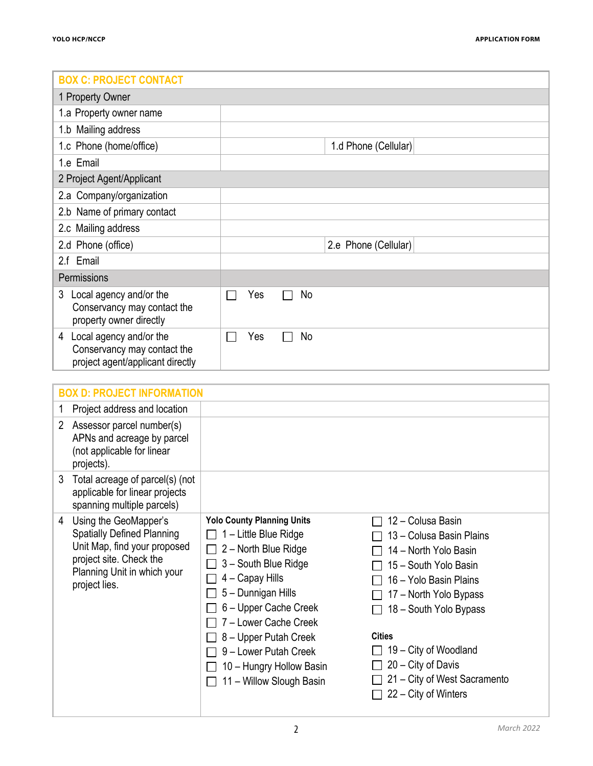| <b>BOX C: PROJECT CONTACT</b>                                                                   |                      |  |  |  |
|-------------------------------------------------------------------------------------------------|----------------------|--|--|--|
| 1 Property Owner                                                                                |                      |  |  |  |
| 1.a Property owner name                                                                         |                      |  |  |  |
| 1.b Mailing address                                                                             |                      |  |  |  |
| 1.c Phone (home/office)                                                                         | 1.d Phone (Cellular) |  |  |  |
| 1.e Email                                                                                       |                      |  |  |  |
| 2 Project Agent/Applicant                                                                       |                      |  |  |  |
| 2.a Company/organization                                                                        |                      |  |  |  |
| 2.b Name of primary contact                                                                     |                      |  |  |  |
| 2.c Mailing address                                                                             |                      |  |  |  |
| 2.d Phone (office)                                                                              | 2.e Phone (Cellular) |  |  |  |
| 2.f Email                                                                                       |                      |  |  |  |
| Permissions                                                                                     |                      |  |  |  |
| Local agency and/or the<br>3<br>Conservancy may contact the<br>property owner directly          | Yes<br>No            |  |  |  |
| Local agency and/or the<br>4<br>Conservancy may contact the<br>project agent/applicant directly | Yes<br>No            |  |  |  |

| <b>BOX D: PROJECT INFORMATION</b>                                                                                                                                          |                                                                                                                                                                                                                                                                                                                 |                                                                                                                                                                                                                                                                                                       |  |  |  |
|----------------------------------------------------------------------------------------------------------------------------------------------------------------------------|-----------------------------------------------------------------------------------------------------------------------------------------------------------------------------------------------------------------------------------------------------------------------------------------------------------------|-------------------------------------------------------------------------------------------------------------------------------------------------------------------------------------------------------------------------------------------------------------------------------------------------------|--|--|--|
| Project address and location                                                                                                                                               |                                                                                                                                                                                                                                                                                                                 |                                                                                                                                                                                                                                                                                                       |  |  |  |
| Assessor parcel number(s)<br>2<br>APNs and acreage by parcel<br>(not applicable for linear<br>projects).                                                                   |                                                                                                                                                                                                                                                                                                                 |                                                                                                                                                                                                                                                                                                       |  |  |  |
| Total acreage of parcel(s) (not<br>3<br>applicable for linear projects<br>spanning multiple parcels)                                                                       |                                                                                                                                                                                                                                                                                                                 |                                                                                                                                                                                                                                                                                                       |  |  |  |
| Using the GeoMapper's<br>4<br><b>Spatially Defined Planning</b><br>Unit Map, find your proposed<br>project site. Check the<br>Planning Unit in which your<br>project lies. | <b>Yolo County Planning Units</b><br>1 - Little Blue Ridge<br>2 - North Blue Ridge<br>3 - South Blue Ridge<br>4 - Capay Hills<br>5 - Dunnigan Hills<br>6 - Upper Cache Creek<br>7 - Lower Cache Creek<br>8 – Upper Putah Creek<br>9 - Lower Putah Creek<br>10 - Hungry Hollow Basin<br>11 - Willow Slough Basin | 12 - Colusa Basin<br>13 – Colusa Basin Plains<br>14 - North Yolo Basin<br>15 - South Yolo Basin<br>16 - Yolo Basin Plains<br>17 - North Yolo Bypass<br>18 - South Yolo Bypass<br><b>Cities</b><br>19 – City of Woodland<br>20 – City of Davis<br>21 – City of West Sacramento<br>22 – City of Winters |  |  |  |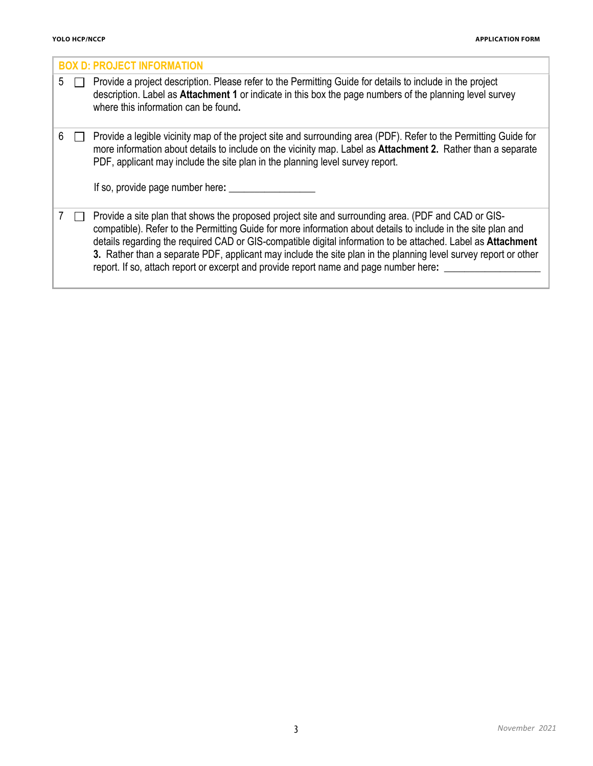|   | <b>BOX D: PROJECT INFORMATION</b> |                                                                                                                                                                                                                                                                                                                                                                                                                                                                                                                                                  |  |  |  |  |
|---|-----------------------------------|--------------------------------------------------------------------------------------------------------------------------------------------------------------------------------------------------------------------------------------------------------------------------------------------------------------------------------------------------------------------------------------------------------------------------------------------------------------------------------------------------------------------------------------------------|--|--|--|--|
| 5 |                                   | Provide a project description. Please refer to the Permitting Guide for details to include in the project<br>description. Label as Attachment 1 or indicate in this box the page numbers of the planning level survey<br>where this information can be found.                                                                                                                                                                                                                                                                                    |  |  |  |  |
| 6 |                                   | Provide a legible vicinity map of the project site and surrounding area (PDF). Refer to the Permitting Guide for<br>more information about details to include on the vicinity map. Label as Attachment 2. Rather than a separate<br>PDF, applicant may include the site plan in the planning level survey report.<br>If so, provide page number here:                                                                                                                                                                                            |  |  |  |  |
|   |                                   | Provide a site plan that shows the proposed project site and surrounding area. (PDF and CAD or GIS-<br>compatible). Refer to the Permitting Guide for more information about details to include in the site plan and<br>details regarding the required CAD or GIS-compatible digital information to be attached. Label as Attachment<br>3. Rather than a separate PDF, applicant may include the site plan in the planning level survey report or other<br>report. If so, attach report or excerpt and provide report name and page number here: |  |  |  |  |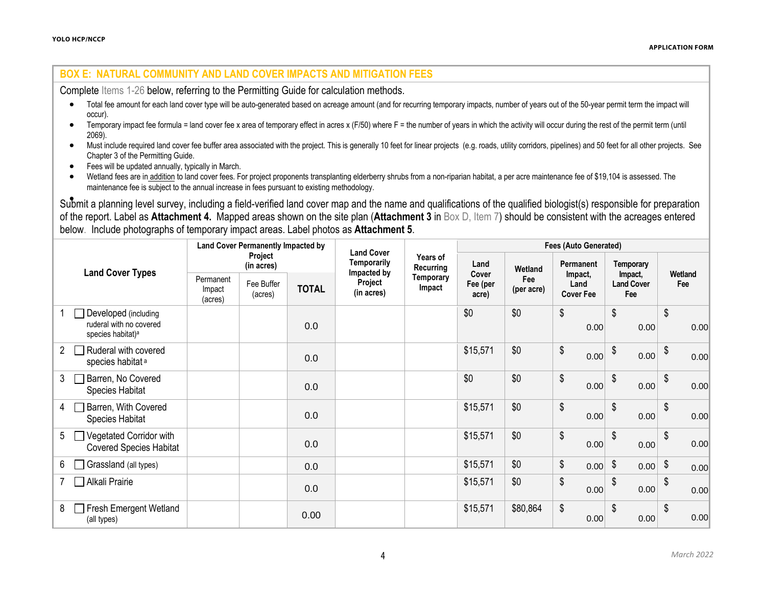#### **BOX E: NATURAL COMMUNITY AND LAND COVER IMPACTS AND MITIGATION FEES**

Complete Items 1-26 below, referring to the Permitting Guide for calculation methods.

- Total fee amount for each land cover type will be auto-generated based on acreage amount (and for recurring temporary impacts, number of years out of the 50-year permit term the impact will occur).
- Temporary impact fee formula = land cover fee x area of temporary effect in acres x (F/50) where F = the number of years in which the activity will occur during the rest of the permit term (until 2069).
- Must include required land cover fee buffer area associated with the project. This is generally 10 feet for linear projects (e.g. roads, utility corridors, pipelines) and 50 feet for all other projects. See Chapter 3 of the Permitting Guide.
- Fees will be updated annually, typically in March.
- Wetland fees are in addition to land cover fees. For project proponents transplanting elderberry shrubs from a non-riparian habitat, a per acre maintenance fee of \$19,104 is assessed. The maintenance fee is subject to the annual increase in fees pursuant to existing methodology.

• Submit a planning level survey, including a field-verified land cover map and the name and qualifications of the qualified biologist(s) responsible for preparation of the report. Label as **Attachment 4.** Mapped areas shown on the site plan (**Attachment 3** in Box D, Item 7) should be consistent with the acreages entered below. Include photographs of temporary impact areas. Label photos as **Attachment 5**.

|                                                                                  | <b>Land Cover Permanently Impacted by</b> |                       | <b>Land Cover</b>  |                                      | <b>Fees (Auto Generated)</b> |                            |                   |                                     |                                     |                |
|----------------------------------------------------------------------------------|-------------------------------------------|-----------------------|--------------------|--------------------------------------|------------------------------|----------------------------|-------------------|-------------------------------------|-------------------------------------|----------------|
| <b>Land Cover Types</b>                                                          | Project<br>(in acres)                     |                       | <b>Temporarily</b> | Years of<br>Recurring                | Land                         | Wetland                    | Permanent         | Temporary                           |                                     |                |
|                                                                                  | Permanent<br>Impact<br>(acres)            | Fee Buffer<br>(acres) | <b>TOTAL</b>       | Impacted by<br>Project<br>(in acres) | Temporary<br>Impact          | Cover<br>Fee (per<br>acre) | Fee<br>(per acre) | Impact,<br>Land<br><b>Cover Fee</b> | Impact,<br><b>Land Cover</b><br>Fee | Wetland<br>Fee |
| Developed (including<br>ruderal with no covered<br>species habitat) <sup>a</sup> |                                           |                       | 0.0                |                                      |                              | \$0                        | \$0               | \$<br>0.00                          | \$<br>0.00                          | \$<br>0.00     |
| Ruderal with covered<br>$2^{\circ}$<br>species habitat <sup>a</sup>              |                                           |                       | 0.0                |                                      |                              | \$15,571                   | \$0               | \$<br>0.00                          | \$<br>0.00                          | \$<br>0.00     |
| Barren, No Covered<br>3<br>Species Habitat                                       |                                           |                       | 0.0                |                                      |                              | \$0                        | \$0               | \$<br>0.00                          | \$<br>0.00                          | \$<br>0.00     |
| Barren, With Covered<br>4<br>Species Habitat                                     |                                           |                       | 0.0                |                                      |                              | \$15,571                   | \$0               | \$<br>0.00                          | \$<br>0.00                          | \$<br>0.00     |
| Vegetated Corridor with<br>$5\Box$<br><b>Covered Species Habitat</b>             |                                           |                       | 0.0                |                                      |                              | \$15,571                   | \$0               | \$<br>0.00                          | \$<br>0.00                          | \$<br>0.00     |
| Grassland (all types)<br>6                                                       |                                           |                       | 0.0                |                                      |                              | \$15,571                   | \$0               | \$<br>$0.00$ \$                     | $0.00$ \$                           | 0.00           |
| Alkali Prairie                                                                   |                                           |                       | 0.0                |                                      |                              | \$15,571                   | \$0               | \$<br>0.00                          | \$<br>0.00                          | \$<br>0.00     |
| <b>Fresh Emergent Wetland</b><br>8<br>(all types)                                |                                           |                       | 0.00               |                                      |                              | \$15,571                   | \$80,864          | \$<br>0.00                          | \$<br>0.00                          | \$<br>0.00     |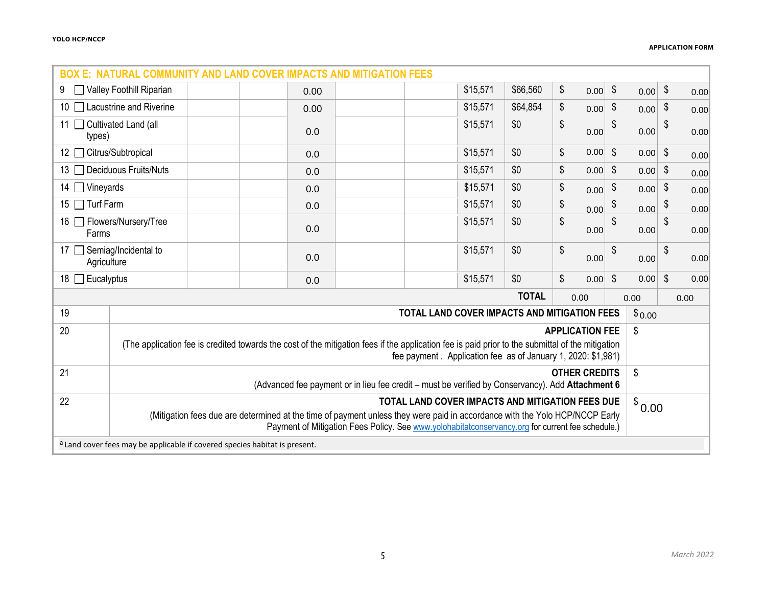| <b>BOX E: NATURAL COMMUNITY AND LAND COVER IMPACTS AND MITIGATION FEES</b> |                                                                                                                                                                                                                                 |                                                                            |      |                                              |          |              |                         |           |                           |           |                           |      |
|----------------------------------------------------------------------------|---------------------------------------------------------------------------------------------------------------------------------------------------------------------------------------------------------------------------------|----------------------------------------------------------------------------|------|----------------------------------------------|----------|--------------|-------------------------|-----------|---------------------------|-----------|---------------------------|------|
| Valley Foothill Riparian<br>9                                              |                                                                                                                                                                                                                                 |                                                                            | 0.00 |                                              | \$15,571 | \$66,560     | \$                      | $0.00$ \$ |                           | $0.00$ \$ |                           | 0.00 |
| 10   Lacustrine and Riverine                                               |                                                                                                                                                                                                                                 |                                                                            | 0.00 |                                              | \$15,571 | \$64,854     | \$                      | $0.00$ \$ |                           | 0.00      | \$                        | 0.00 |
| 11   Cultivated Land (all<br>types)                                        |                                                                                                                                                                                                                                 |                                                                            | 0.0  |                                              | \$15,571 | \$0          | \$                      | 0.00      | \$                        | 0.00      | \$                        | 0.00 |
| 12 Citrus/Subtropical                                                      |                                                                                                                                                                                                                                 |                                                                            | 0.0  |                                              | \$15,571 | \$0          | \$                      | $0.00$ \$ |                           | $0.00$ \$ |                           | 0.00 |
|                                                                            | 13 □ Deciduous Fruits/Nuts                                                                                                                                                                                                      |                                                                            | 0.0  |                                              | \$15,571 | \$0          | \$                      | $0.00$ \$ |                           | 0.00      | $\sqrt{3}$                | 0.00 |
| 14 $\Box$ Vineyards                                                        |                                                                                                                                                                                                                                 |                                                                            | 0.0  |                                              | \$15,571 | \$0          | \$                      | 0.00      | \$                        | 0.00      | $\sqrt[6]{3}$             | 0.00 |
| 15 $\Box$ Turf Farm                                                        |                                                                                                                                                                                                                                 |                                                                            | 0.0  |                                              | \$15,571 | \$0          | \$                      | 0.00      | \$                        | 0.00      | \$                        | 0.00 |
| 16 <b>□ Flowers/Nursery/Tree</b><br>Farms                                  |                                                                                                                                                                                                                                 |                                                                            | 0.0  |                                              | \$15,571 | \$0          | \$                      | 0.00      | \$                        | 0.00      | \$                        | 0.00 |
| Agriculture                                                                | 17 Semiag/Incidental to                                                                                                                                                                                                         |                                                                            | 0.0  |                                              | \$15,571 | \$0          | \$                      | 0.00      | \$                        | 0.00      | \$                        | 0.00 |
| 18 $\Box$ Eucalyptus                                                       |                                                                                                                                                                                                                                 |                                                                            | 0.0  |                                              | \$15,571 | \$0          | $\sqrt[6]{\frac{1}{2}}$ | 0.00      | $\boldsymbol{\mathsf{S}}$ | 0.00      | $\boldsymbol{\mathsf{S}}$ | 0.00 |
|                                                                            |                                                                                                                                                                                                                                 |                                                                            |      |                                              |          | <b>TOTAL</b> | 0.00                    |           |                           | 0.00      |                           | 0.00 |
| 19                                                                         |                                                                                                                                                                                                                                 |                                                                            |      | TOTAL LAND COVER IMPACTS AND MITIGATION FEES |          |              |                         |           |                           | \$0.00    |                           |      |
| 20                                                                         |                                                                                                                                                                                                                                 |                                                                            |      |                                              |          |              | <b>APPLICATION FEE</b>  |           |                           | \$        |                           |      |
|                                                                            | (The application fee is credited towards the cost of the mitigation fees if the application fee is paid prior to the submittal of the mitigation<br>fee payment. Application fee as of January 1, 2020: \$1,981)                |                                                                            |      |                                              |          |              |                         |           |                           |           |                           |      |
| 21                                                                         | \$<br><b>OTHER CREDITS</b><br>(Advanced fee payment or in lieu fee credit - must be verified by Conservancy). Add Attachment 6                                                                                                  |                                                                            |      |                                              |          |              |                         |           |                           |           |                           |      |
| 22                                                                         | TOTAL LAND COVER IMPACTS AND MITIGATION FEES DUE<br>$\sqrt[3]{}0.00$                                                                                                                                                            |                                                                            |      |                                              |          |              |                         |           |                           |           |                           |      |
|                                                                            | (Mitigation fees due are determined at the time of payment unless they were paid in accordance with the Yolo HCP/NCCP Early<br>Payment of Mitigation Fees Policy. See www.yolohabitatconservancy.org for current fee schedule.) |                                                                            |      |                                              |          |              |                         |           |                           |           |                           |      |
|                                                                            |                                                                                                                                                                                                                                 | a Land cover fees may be applicable if covered species habitat is present. |      |                                              |          |              |                         |           |                           |           |                           |      |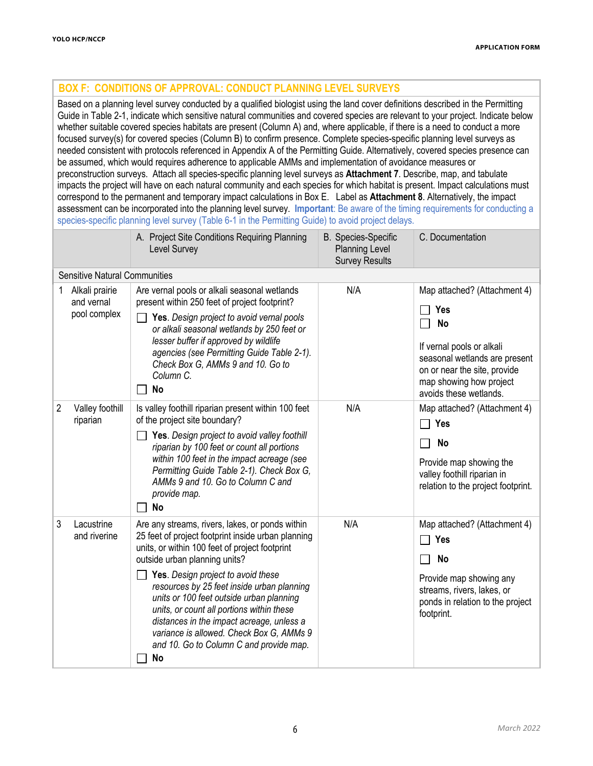# **BOX F: CONDITIONS OF APPROVAL: CONDUCT PLANNING LEVEL SURVEYS**

Based on a planning level survey conducted by a qualified biologist using the land cover definitions described in the Permitting Guide in Table 2-1, indicate which sensitive natural communities and covered species are relevant to your project. Indicate below whether suitable covered species habitats are present (Column A) and, where applicable, if there is a need to conduct a more focused survey(s) for covered species (Column B) to confirm presence. Complete species-specific planning level surveys as needed consistent with protocols referenced in Appendix A of the Permitting Guide. Alternatively, covered species presence can be assumed, which would requires adherence to applicable AMMs and implementation of avoidance measures or preconstruction surveys. Attach all species-specific planning level surveys as **Attachment 7**. Describe, map, and tabulate impacts the project will have on each natural community and each species for which habitat is present. Impact calculations must correspond to the permanent and temporary impact calculations in Box E. Label as **Attachment 8**. Alternatively, the impact assessment can be incorporated into the planning level survey. **Important**: Be aware of the timing requirements for conducting a species-specific planning level survey (Table 6-1 in the Permitting Guide) to avoid project delays.

|                |                                              | A. Project Site Conditions Requiring Planning<br>Level Survey                                                                                                                                                                                                                                                                                                                                                                                                                                                   | <b>B.</b> Species-Specific<br><b>Planning Level</b><br><b>Survey Results</b> | C. Documentation                                                                                                                                                                                           |  |  |  |  |  |
|----------------|----------------------------------------------|-----------------------------------------------------------------------------------------------------------------------------------------------------------------------------------------------------------------------------------------------------------------------------------------------------------------------------------------------------------------------------------------------------------------------------------------------------------------------------------------------------------------|------------------------------------------------------------------------------|------------------------------------------------------------------------------------------------------------------------------------------------------------------------------------------------------------|--|--|--|--|--|
|                | <b>Sensitive Natural Communities</b>         |                                                                                                                                                                                                                                                                                                                                                                                                                                                                                                                 |                                                                              |                                                                                                                                                                                                            |  |  |  |  |  |
| 1              | Alkali prairie<br>and vernal<br>pool complex | Are vernal pools or alkali seasonal wetlands<br>present within 250 feet of project footprint?<br>Yes. Design project to avoid vernal pools<br>or alkali seasonal wetlands by 250 feet or<br>lesser buffer if approved by wildlife<br>agencies (see Permitting Guide Table 2-1).<br>Check Box G, AMMs 9 and 10. Go to<br>Column C.<br><b>No</b>                                                                                                                                                                  | N/A                                                                          | Map attached? (Attachment 4)<br><b>Yes</b><br><b>No</b><br>If vernal pools or alkali<br>seasonal wetlands are present<br>on or near the site, provide<br>map showing how project<br>avoids these wetlands. |  |  |  |  |  |
| $\overline{2}$ | Valley foothill<br>riparian                  | Is valley foothill riparian present within 100 feet<br>of the project site boundary?<br>Yes. Design project to avoid valley foothill<br>riparian by 100 feet or count all portions<br>within 100 feet in the impact acreage (see<br>Permitting Guide Table 2-1). Check Box G,<br>AMMs 9 and 10. Go to Column C and<br>provide map.<br>No                                                                                                                                                                        | N/A                                                                          | Map attached? (Attachment 4)<br>Yes<br>$\Box$<br>No<br>Provide map showing the<br>valley foothill riparian in<br>relation to the project footprint.                                                        |  |  |  |  |  |
| 3              | Lacustrine<br>and riverine                   | Are any streams, rivers, lakes, or ponds within<br>25 feet of project footprint inside urban planning<br>units, or within 100 feet of project footprint<br>outside urban planning units?<br>Yes. Design project to avoid these<br>resources by 25 feet inside urban planning<br>units or 100 feet outside urban planning<br>units, or count all portions within these<br>distances in the impact acreage, unless a<br>variance is allowed. Check Box G, AMMs 9<br>and 10. Go to Column C and provide map.<br>No | N/A                                                                          | Map attached? (Attachment 4)<br>Yes<br>No<br>Provide map showing any<br>streams, rivers, lakes, or<br>ponds in relation to the project<br>footprint.                                                       |  |  |  |  |  |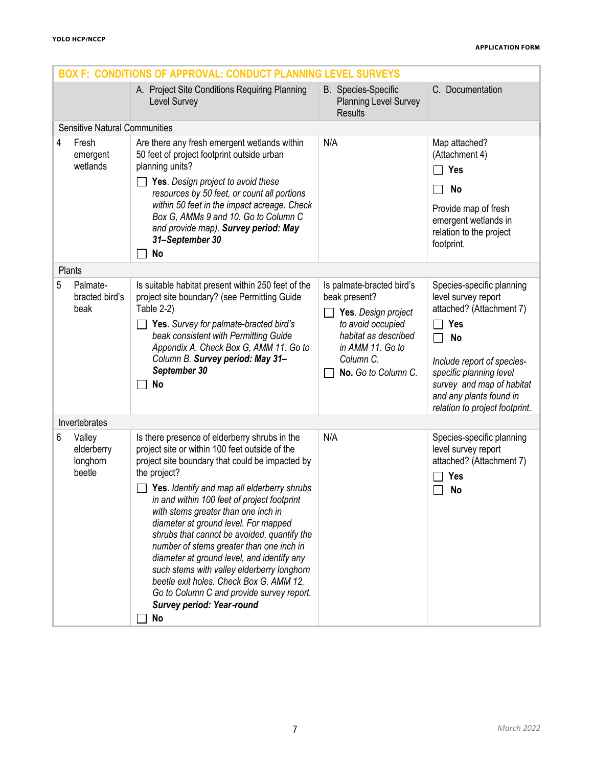|   | <b>BOX F: CONDITIONS OF APPROVAL: CONDUCT PLANNING LEVEL SURVEYS</b> |                                                                                                                                                                                                                                                                                                                                                                                                                                                                                                                                                                                                                                                                   |                                                                                                                                                                        |                                                                                                                                                                                                                                                     |  |  |
|---|----------------------------------------------------------------------|-------------------------------------------------------------------------------------------------------------------------------------------------------------------------------------------------------------------------------------------------------------------------------------------------------------------------------------------------------------------------------------------------------------------------------------------------------------------------------------------------------------------------------------------------------------------------------------------------------------------------------------------------------------------|------------------------------------------------------------------------------------------------------------------------------------------------------------------------|-----------------------------------------------------------------------------------------------------------------------------------------------------------------------------------------------------------------------------------------------------|--|--|
|   |                                                                      | A. Project Site Conditions Requiring Planning<br>Level Survey                                                                                                                                                                                                                                                                                                                                                                                                                                                                                                                                                                                                     | <b>B.</b> Species-Specific<br><b>Planning Level Survey</b><br><b>Results</b>                                                                                           | C. Documentation                                                                                                                                                                                                                                    |  |  |
|   | <b>Sensitive Natural Communities</b>                                 |                                                                                                                                                                                                                                                                                                                                                                                                                                                                                                                                                                                                                                                                   |                                                                                                                                                                        |                                                                                                                                                                                                                                                     |  |  |
| 4 | Fresh<br>emergent<br>wetlands                                        | Are there any fresh emergent wetlands within<br>50 feet of project footprint outside urban<br>planning units?<br><b>Yes.</b> Design project to avoid these<br>resources by 50 feet, or count all portions<br>within 50 feet in the impact acreage. Check<br>Box G, AMMs 9 and 10. Go to Column C<br>and provide map). Survey period: May<br>31-September 30<br>No                                                                                                                                                                                                                                                                                                 | N/A                                                                                                                                                                    | Map attached?<br>(Attachment 4)<br>Yes<br><b>No</b><br>Provide map of fresh<br>emergent wetlands in<br>relation to the project<br>footprint.                                                                                                        |  |  |
|   | Plants                                                               |                                                                                                                                                                                                                                                                                                                                                                                                                                                                                                                                                                                                                                                                   |                                                                                                                                                                        |                                                                                                                                                                                                                                                     |  |  |
| 5 | Palmate-<br>bracted bird's<br>beak                                   | Is suitable habitat present within 250 feet of the<br>project site boundary? (see Permitting Guide<br>Table 2-2)<br>Yes. Survey for palmate-bracted bird's<br>beak consistent with Permitting Guide<br>Appendix A. Check Box G, AMM 11. Go to<br>Column B. Survey period: May 31-<br>September 30<br><b>No</b>                                                                                                                                                                                                                                                                                                                                                    | Is palmate-bracted bird's<br>beak present?<br>Yes. Design project<br>to avoid occupied<br>habitat as described<br>in AMM 11. Go to<br>Column C.<br>No. Go to Column C. | Species-specific planning<br>level survey report<br>attached? (Attachment 7)<br>Yes<br><b>No</b><br>Include report of species-<br>specific planning level<br>survey and map of habitat<br>and any plants found in<br>relation to project footprint. |  |  |
|   | Invertebrates                                                        |                                                                                                                                                                                                                                                                                                                                                                                                                                                                                                                                                                                                                                                                   |                                                                                                                                                                        |                                                                                                                                                                                                                                                     |  |  |
| 6 | Valley<br>elderberry<br>longhorn<br>beetle                           | Is there presence of elderberry shrubs in the<br>project site or within 100 feet outside of the<br>project site boundary that could be impacted by<br>the project?<br>Yes. Identify and map all elderberry shrubs<br>in and within 100 feet of project footprint<br>with stems greater than one inch in<br>diameter at ground level. For mapped<br>shrubs that cannot be avoided, quantify the<br>number of stems greater than one inch in<br>diameter at ground level, and identify any<br>such stems with valley elderberry longhorn<br>beetle exit holes. Check Box G, AMM 12.<br>Go to Column C and provide survey report.<br>Survey period: Year-round<br>No | N/A                                                                                                                                                                    | Species-specific planning<br>level survey report<br>attached? (Attachment 7)<br>Yes<br><b>No</b>                                                                                                                                                    |  |  |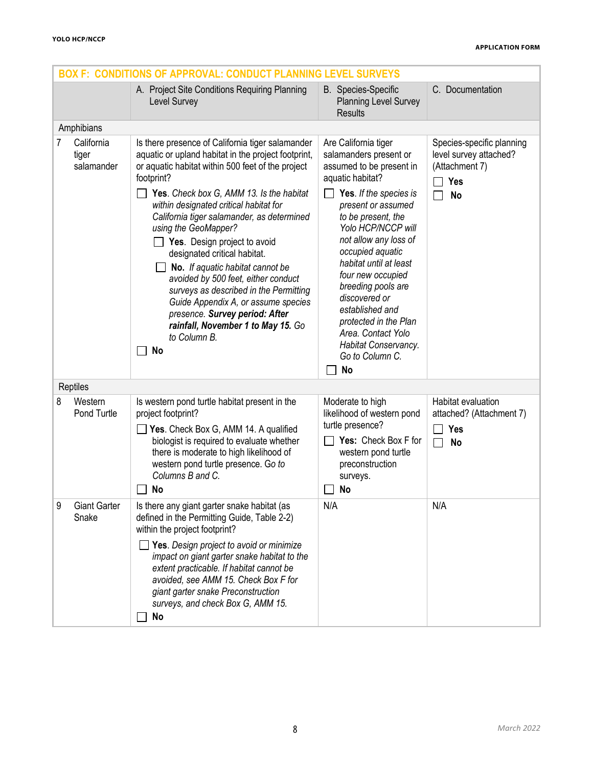|   | <b>BOX F: CONDITIONS OF APPROVAL: CONDUCT PLANNING LEVEL SURVEYS</b> |                                                                                                                                                                                                                                                                                                                                                                                                                                                                                                                                                                                                                                                                  |                                                                                                                                                                                                                                                                                                                                                                                                                                                         |                                                                                                  |  |  |
|---|----------------------------------------------------------------------|------------------------------------------------------------------------------------------------------------------------------------------------------------------------------------------------------------------------------------------------------------------------------------------------------------------------------------------------------------------------------------------------------------------------------------------------------------------------------------------------------------------------------------------------------------------------------------------------------------------------------------------------------------------|---------------------------------------------------------------------------------------------------------------------------------------------------------------------------------------------------------------------------------------------------------------------------------------------------------------------------------------------------------------------------------------------------------------------------------------------------------|--------------------------------------------------------------------------------------------------|--|--|
|   |                                                                      | A. Project Site Conditions Requiring Planning<br>Level Survey                                                                                                                                                                                                                                                                                                                                                                                                                                                                                                                                                                                                    | <b>B.</b> Species-Specific<br><b>Planning Level Survey</b><br><b>Results</b>                                                                                                                                                                                                                                                                                                                                                                            | C. Documentation                                                                                 |  |  |
|   | Amphibians                                                           |                                                                                                                                                                                                                                                                                                                                                                                                                                                                                                                                                                                                                                                                  |                                                                                                                                                                                                                                                                                                                                                                                                                                                         |                                                                                                  |  |  |
| 7 | California<br>tiger<br>salamander                                    | Is there presence of California tiger salamander<br>aquatic or upland habitat in the project footprint,<br>or aquatic habitat within 500 feet of the project<br>footprint?<br>Yes. Check box G, AMM 13. Is the habitat<br>within designated critical habitat for<br>California tiger salamander, as determined<br>using the GeoMapper?<br>Yes. Design project to avoid<br>designated critical habitat.<br>No. If aquatic habitat cannot be<br>avoided by 500 feet, either conduct<br>surveys as described in the Permitting<br>Guide Appendix A, or assume species<br>presence. Survey period: After<br>rainfall, November 1 to May 15. Go<br>to Column B.<br>No | Are California tiger<br>salamanders present or<br>assumed to be present in<br>aquatic habitat?<br>Yes. If the species is<br>present or assumed<br>to be present, the<br>Yolo HCP/NCCP will<br>not allow any loss of<br>occupied aquatic<br>habitat until at least<br>four new occupied<br>breeding pools are<br>discovered or<br>established and<br>protected in the Plan<br>Area. Contact Yolo<br>Habitat Conservancy.<br>Go to Column C.<br><b>No</b> | Species-specific planning<br>level survey attached?<br>(Attachment 7)<br><b>Yes</b><br><b>No</b> |  |  |
|   | Reptiles                                                             |                                                                                                                                                                                                                                                                                                                                                                                                                                                                                                                                                                                                                                                                  |                                                                                                                                                                                                                                                                                                                                                                                                                                                         |                                                                                                  |  |  |
| 8 | Western<br>Pond Turtle                                               | Is western pond turtle habitat present in the<br>project footprint?<br>Yes. Check Box G, AMM 14. A qualified<br>biologist is required to evaluate whether<br>there is moderate to high likelihood of<br>western pond turtle presence. Go to<br>Columns B and C.<br>No                                                                                                                                                                                                                                                                                                                                                                                            | Moderate to high<br>likelihood of western pond<br>turtle presence?<br>Yes: Check Box F for<br>western pond turtle<br>preconstruction<br>surveys.<br><b>No</b>                                                                                                                                                                                                                                                                                           | Habitat evaluation<br>attached? (Attachment 7)<br>Yes<br>$\mathbf{I}$<br><b>No</b>               |  |  |
| 9 | <b>Giant Garter</b><br>Snake                                         | Is there any giant garter snake habitat (as<br>defined in the Permitting Guide, Table 2-2)<br>within the project footprint?<br>Yes. Design project to avoid or minimize<br>impact on giant garter snake habitat to the<br>extent practicable. If habitat cannot be<br>avoided, see AMM 15. Check Box F for<br>giant garter snake Preconstruction<br>surveys, and check Box G, AMM 15.<br>No                                                                                                                                                                                                                                                                      | N/A                                                                                                                                                                                                                                                                                                                                                                                                                                                     | N/A                                                                                              |  |  |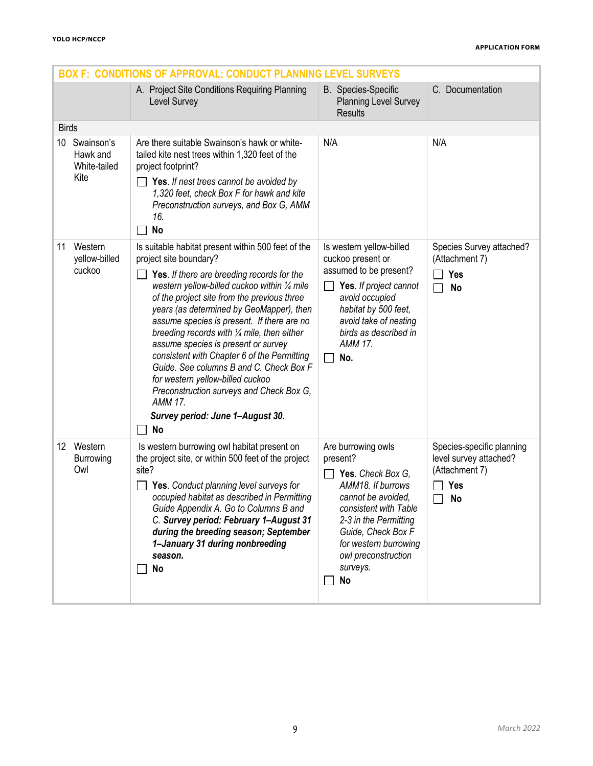|                                                      | <b>BOX F: CONDITIONS OF APPROVAL: CONDUCT PLANNING LEVEL SURVEYS</b>                                                                                                                                                                                                                                                                                                                                                                                                                                                                                                                                                                                   |                                                                                                                                                                                                                                                 |                                                                                           |  |  |  |  |  |  |
|------------------------------------------------------|--------------------------------------------------------------------------------------------------------------------------------------------------------------------------------------------------------------------------------------------------------------------------------------------------------------------------------------------------------------------------------------------------------------------------------------------------------------------------------------------------------------------------------------------------------------------------------------------------------------------------------------------------------|-------------------------------------------------------------------------------------------------------------------------------------------------------------------------------------------------------------------------------------------------|-------------------------------------------------------------------------------------------|--|--|--|--|--|--|
|                                                      | A. Project Site Conditions Requiring Planning<br>Level Survey                                                                                                                                                                                                                                                                                                                                                                                                                                                                                                                                                                                          | <b>B.</b> Species-Specific<br><b>Planning Level Survey</b><br><b>Results</b>                                                                                                                                                                    | C. Documentation                                                                          |  |  |  |  |  |  |
| <b>Birds</b>                                         |                                                                                                                                                                                                                                                                                                                                                                                                                                                                                                                                                                                                                                                        |                                                                                                                                                                                                                                                 |                                                                                           |  |  |  |  |  |  |
| Swainson's<br>10<br>Hawk and<br>White-tailed<br>Kite | Are there suitable Swainson's hawk or white-<br>tailed kite nest trees within 1,320 feet of the<br>project footprint?<br>Yes. If nest trees cannot be avoided by                                                                                                                                                                                                                                                                                                                                                                                                                                                                                       | N/A                                                                                                                                                                                                                                             | N/A                                                                                       |  |  |  |  |  |  |
|                                                      | 1,320 feet, check Box F for hawk and kite<br>Preconstruction surveys, and Box G, AMM<br>16.<br>No                                                                                                                                                                                                                                                                                                                                                                                                                                                                                                                                                      |                                                                                                                                                                                                                                                 |                                                                                           |  |  |  |  |  |  |
| Western<br>11<br>yellow-billed<br>cuckoo             | Is suitable habitat present within 500 feet of the<br>project site boundary?<br>Yes. If there are breeding records for the<br>western yellow-billed cuckoo within 1/4 mile<br>of the project site from the previous three<br>years (as determined by GeoMapper), then<br>assume species is present. If there are no<br>breeding records with 1/4 mile, then either<br>assume species is present or survey<br>consistent with Chapter 6 of the Permitting<br>Guide. See columns B and C. Check Box F<br>for western yellow-billed cuckoo<br>Preconstruction surveys and Check Box G,<br><b>AMM 17.</b><br>Survey period: June 1-August 30.<br><b>No</b> | Is western yellow-billed<br>cuckoo present or<br>assumed to be present?<br>Yes. If project cannot<br>avoid occupied<br>habitat by 500 feet,<br>avoid take of nesting<br>birds as described in<br><b>AMM 17.</b><br>No.                          | Species Survey attached?<br>(Attachment 7)<br>Yes<br><b>No</b>                            |  |  |  |  |  |  |
| 12 Western<br><b>Burrowing</b><br>Owl                | Is western burrowing owl habitat present on<br>the project site, or within 500 feet of the project<br>site?<br>Yes. Conduct planning level surveys for<br>occupied habitat as described in Permitting<br>Guide Appendix A. Go to Columns B and<br>C. Survey period: February 1-August 31<br>during the breeding season; September<br>1-January 31 during nonbreeding<br>season.<br>No                                                                                                                                                                                                                                                                  | Are burrowing owls<br>present?<br>Yes. Check Box G.<br>AMM18. If burrows<br>cannot be avoided,<br>consistent with Table<br>2-3 in the Permitting<br>Guide, Check Box F<br>for western burrowing<br>owl preconstruction<br>surveys.<br><b>No</b> | Species-specific planning<br>level survey attached?<br>(Attachment 7)<br><b>Yes</b><br>No |  |  |  |  |  |  |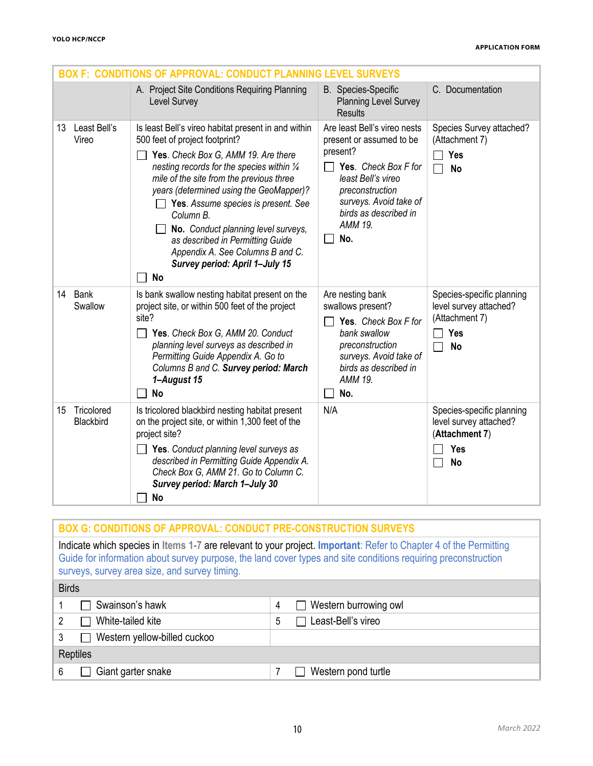|                               | <b>BOX F: CONDITIONS OF APPROVAL: CONDUCT PLANNING</b>                                                                                                                                                                                                                                                                                                                                                                                                                                     | <b>LEVEL SURVEYS</b>                                                                                                                                                                                                       |                                                                                                  |
|-------------------------------|--------------------------------------------------------------------------------------------------------------------------------------------------------------------------------------------------------------------------------------------------------------------------------------------------------------------------------------------------------------------------------------------------------------------------------------------------------------------------------------------|----------------------------------------------------------------------------------------------------------------------------------------------------------------------------------------------------------------------------|--------------------------------------------------------------------------------------------------|
|                               | A. Project Site Conditions Requiring Planning<br>Level Survey                                                                                                                                                                                                                                                                                                                                                                                                                              | <b>B.</b> Species-Specific<br><b>Planning Level Survey</b><br><b>Results</b>                                                                                                                                               | C. Documentation                                                                                 |
| Least Bell's<br>13<br>Vireo   | Is least Bell's vireo habitat present in and within<br>500 feet of project footprint?<br>Yes. Check Box G, AMM 19. Are there<br>nesting records for the species within 1/4<br>mile of the site from the previous three<br>years (determined using the GeoMapper)?<br>$\Box$ Yes. Assume species is present. See<br>Column B.<br>No. Conduct planning level surveys,<br>as described in Permitting Guide<br>Appendix A. See Columns B and C.<br>Survey period: April 1-July 15<br><b>No</b> | Are least Bell's vireo nests<br>present or assumed to be<br>present?<br>Yes. Check Box F for<br>$\mathsf{L}$<br>least Bell's vireo<br>preconstruction<br>surveys. Avoid take of<br>birds as described in<br>AMM 19.<br>No. | Species Survey attached?<br>(Attachment 7)<br><b>Yes</b><br><b>No</b>                            |
| 14 Bank<br>Swallow            | Is bank swallow nesting habitat present on the<br>project site, or within 500 feet of the project<br>site?<br>Yes. Check Box G, AMM 20. Conduct<br>planning level surveys as described in<br>Permitting Guide Appendix A. Go to<br>Columns B and C. Survey period: March<br>1-August 15<br>No                                                                                                                                                                                              | Are nesting bank<br>swallows present?<br>Yes. Check Box F for<br>bank swallow<br>preconstruction<br>surveys. Avoid take of<br>birds as described in<br>AMM 19.<br>No.                                                      | Species-specific planning<br>level survey attached?<br>(Attachment 7)<br><b>Yes</b><br><b>No</b> |
| Tricolored<br>15<br>Blackbird | Is tricolored blackbird nesting habitat present<br>on the project site, or within 1,300 feet of the<br>project site?<br>$\Box$ Yes. Conduct planning level surveys as<br>described in Permitting Guide Appendix A.<br>Check Box G, AMM 21. Go to Column C.<br>Survey period: March 1-July 30<br>No                                                                                                                                                                                         | N/A                                                                                                                                                                                                                        | Species-specific planning<br>level survey attached?<br>(Attachment 7)<br>Yes<br><b>No</b>        |

| <b>BOX G: CONDITIONS OF APPROVAL: CONDUCT PRE-CONSTRUCTION SURVEYS</b>                                                                                                                                                                                                               |                                   |  |  |  |
|--------------------------------------------------------------------------------------------------------------------------------------------------------------------------------------------------------------------------------------------------------------------------------------|-----------------------------------|--|--|--|
| Indicate which species in Items 1-7 are relevant to your project. Important: Refer to Chapter 4 of the Permitting<br>Guide for information about survey purpose, the land cover types and site conditions requiring preconstruction<br>surveys, survey area size, and survey timing. |                                   |  |  |  |
| <b>Birds</b>                                                                                                                                                                                                                                                                         |                                   |  |  |  |
| Swainson's hawk                                                                                                                                                                                                                                                                      | $\Box$ Western burrowing owl<br>4 |  |  |  |
| White-tailed kite                                                                                                                                                                                                                                                                    | Least-Bell's vireo<br>5           |  |  |  |
| Western yellow-billed cuckoo<br>3                                                                                                                                                                                                                                                    |                                   |  |  |  |
| Reptiles                                                                                                                                                                                                                                                                             |                                   |  |  |  |
| Giant garter snake<br>6                                                                                                                                                                                                                                                              | Western pond turtle               |  |  |  |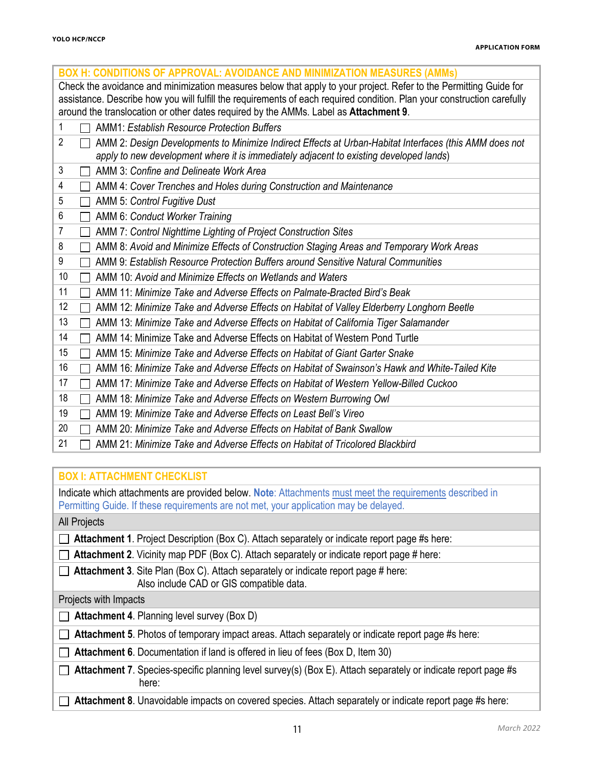| <b>BOX H: CONDITIONS OF APPROVAL: AVOIDANCE AND MINIMIZATION MEASURES (AMMs)</b>                                                                                                                                                                                                                                                     |  |  |  |  |  |
|--------------------------------------------------------------------------------------------------------------------------------------------------------------------------------------------------------------------------------------------------------------------------------------------------------------------------------------|--|--|--|--|--|
| Check the avoidance and minimization measures below that apply to your project. Refer to the Permitting Guide for<br>assistance. Describe how you will fulfill the requirements of each required condition. Plan your construction carefully<br>around the translocation or other dates required by the AMMs. Label as Attachment 9. |  |  |  |  |  |
| 1<br><b>AMM1: Establish Resource Protection Buffers</b>                                                                                                                                                                                                                                                                              |  |  |  |  |  |
| $\overline{2}$<br>AMM 2: Design Developments to Minimize Indirect Effects at Urban-Habitat Interfaces (this AMM does not<br>$\Box$<br>apply to new development where it is immediately adjacent to existing developed lands)                                                                                                         |  |  |  |  |  |
| 3<br>AMM 3: Confine and Delineate Work Area<br>$\mathsf{L}$                                                                                                                                                                                                                                                                          |  |  |  |  |  |
| 4<br>AMM 4: Cover Trenches and Holes during Construction and Maintenance<br>$\mathbf{I}$                                                                                                                                                                                                                                             |  |  |  |  |  |
| 5<br><b>AMM 5: Control Fugitive Dust</b><br>$\Box$                                                                                                                                                                                                                                                                                   |  |  |  |  |  |
| AMM 6: Conduct Worker Training<br>6<br>$\Box$                                                                                                                                                                                                                                                                                        |  |  |  |  |  |
| 7<br>AMM 7: Control Nighttime Lighting of Project Construction Sites<br>П                                                                                                                                                                                                                                                            |  |  |  |  |  |
| 8<br>AMM 8: Avoid and Minimize Effects of Construction Staging Areas and Temporary Work Areas                                                                                                                                                                                                                                        |  |  |  |  |  |
| AMM 9: Establish Resource Protection Buffers around Sensitive Natural Communities<br>9                                                                                                                                                                                                                                               |  |  |  |  |  |
| 10<br>AMM 10: Avoid and Minimize Effects on Wetlands and Waters                                                                                                                                                                                                                                                                      |  |  |  |  |  |
| 11<br>AMM 11: Minimize Take and Adverse Effects on Palmate-Bracted Bird's Beak                                                                                                                                                                                                                                                       |  |  |  |  |  |
| 12<br>AMM 12: Minimize Take and Adverse Effects on Habitat of Valley Elderberry Longhorn Beetle<br>П                                                                                                                                                                                                                                 |  |  |  |  |  |
| 13<br>AMM 13: Minimize Take and Adverse Effects on Habitat of California Tiger Salamander<br>$\mathsf{L}$                                                                                                                                                                                                                            |  |  |  |  |  |
| 14<br>AMM 14: Minimize Take and Adverse Effects on Habitat of Western Pond Turtle                                                                                                                                                                                                                                                    |  |  |  |  |  |
| 15<br>AMM 15: Minimize Take and Adverse Effects on Habitat of Giant Garter Snake                                                                                                                                                                                                                                                     |  |  |  |  |  |
| 16<br>AMM 16: Minimize Take and Adverse Effects on Habitat of Swainson's Hawk and White-Tailed Kite<br>$\mathbb{R}^n$                                                                                                                                                                                                                |  |  |  |  |  |
| 17<br>AMM 17: Minimize Take and Adverse Effects on Habitat of Western Yellow-Billed Cuckoo<br>$\mathbf{I}$                                                                                                                                                                                                                           |  |  |  |  |  |
| 18<br>AMM 18: Minimize Take and Adverse Effects on Western Burrowing Owl<br>$\mathbf{I}$                                                                                                                                                                                                                                             |  |  |  |  |  |
| 19<br>AMM 19: Minimize Take and Adverse Effects on Least Bell's Vireo<br>$\mathbf{I}$                                                                                                                                                                                                                                                |  |  |  |  |  |
| 20<br>AMM 20: Minimize Take and Adverse Effects on Habitat of Bank Swallow<br>$\mathbf{I}$                                                                                                                                                                                                                                           |  |  |  |  |  |
| 21<br>AMM 21: Minimize Take and Adverse Effects on Habitat of Tricolored Blackbird                                                                                                                                                                                                                                                   |  |  |  |  |  |

# **BOX I: ATTACHMENT CHECKLIST**

Indicate which attachments are provided below. **Note**: Attachments must meet the requirements described in Permitting Guide. If these requirements are not met, your application may be delayed.

#### All Projects

- **Attachment 1**. Project Description (Box C). Attach separately or indicate report page #s here:
- □ Attachment 2. Vicinity map PDF (Box C). Attach separately or indicate report page # here:
- **Attachment 3**. Site Plan (Box C). Attach separately or indicate report page # here:
	- Also include CAD or GIS compatible data.

#### Projects with Impacts

- **Attachment 4**. Planning level survey (Box D)
- **Attachment 5**. Photos of temporary impact areas. Attach separately or indicate report page #s here:
- **Attachment 6**. Documentation if land is offered in lieu of fees (Box D, Item 30)
- **Attachment 7**. Species-specific planning level survey(s) (Box E). Attach separately or indicate report page #s here:
- □ Attachment 8. Unavoidable impacts on covered species. Attach separately or indicate report page #s here: